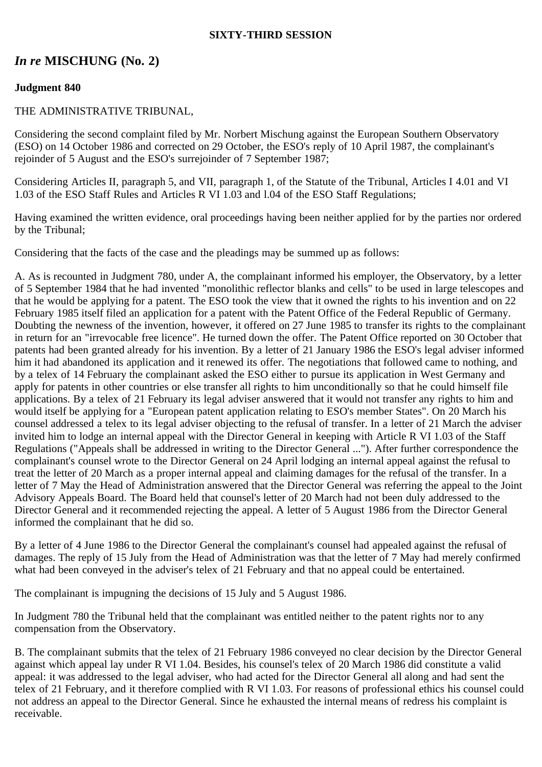### **SIXTY-THIRD SESSION**

# *In re* **MISCHUNG (No. 2)**

### **Judgment 840**

#### THE ADMINISTRATIVE TRIBUNAL,

Considering the second complaint filed by Mr. Norbert Mischung against the European Southern Observatory (ESO) on 14 October 1986 and corrected on 29 October, the ESO's reply of 10 April 1987, the complainant's rejoinder of 5 August and the ESO's surrejoinder of 7 September 1987;

Considering Articles II, paragraph 5, and VII, paragraph 1, of the Statute of the Tribunal, Articles I 4.01 and VI 1.03 of the ESO Staff Rules and Articles R VI 1.03 and l.04 of the ESO Staff Regulations;

Having examined the written evidence, oral proceedings having been neither applied for by the parties nor ordered by the Tribunal;

Considering that the facts of the case and the pleadings may be summed up as follows:

A. As is recounted in Judgment 780, under A, the complainant informed his employer, the Observatory, by a letter of 5 September 1984 that he had invented "monolithic reflector blanks and cells" to be used in large telescopes and that he would be applying for a patent. The ESO took the view that it owned the rights to his invention and on 22 February 1985 itself filed an application for a patent with the Patent Office of the Federal Republic of Germany. Doubting the newness of the invention, however, it offered on 27 June 1985 to transfer its rights to the complainant in return for an "irrevocable free licence". He turned down the offer. The Patent Office reported on 30 October that patents had been granted already for his invention. By a letter of 21 January 1986 the ESO's legal adviser informed him it had abandoned its application and it renewed its offer. The negotiations that followed came to nothing, and by a telex of 14 February the complainant asked the ESO either to pursue its application in West Germany and apply for patents in other countries or else transfer all rights to him unconditionally so that he could himself file applications. By a telex of 21 February its legal adviser answered that it would not transfer any rights to him and would itself be applying for a "European patent application relating to ESO's member States". On 20 March his counsel addressed a telex to its legal adviser objecting to the refusal of transfer. In a letter of 21 March the adviser invited him to lodge an internal appeal with the Director General in keeping with Article R VI 1.03 of the Staff Regulations ("Appeals shall be addressed in writing to the Director General ..."). After further correspondence the complainant's counsel wrote to the Director General on 24 April lodging an internal appeal against the refusal to treat the letter of 20 March as a proper internal appeal and claiming damages for the refusal of the transfer. In a letter of 7 May the Head of Administration answered that the Director General was referring the appeal to the Joint Advisory Appeals Board. The Board held that counsel's letter of 20 March had not been duly addressed to the Director General and it recommended rejecting the appeal. A letter of 5 August 1986 from the Director General informed the complainant that he did so.

By a letter of 4 June 1986 to the Director General the complainant's counsel had appealed against the refusal of damages. The reply of 15 July from the Head of Administration was that the letter of 7 May had merely confirmed what had been conveyed in the adviser's telex of 21 February and that no appeal could be entertained.

The complainant is impugning the decisions of 15 July and 5 August 1986.

In Judgment 780 the Tribunal held that the complainant was entitled neither to the patent rights nor to any compensation from the Observatory.

B. The complainant submits that the telex of 21 February 1986 conveyed no clear decision by the Director General against which appeal lay under R VI 1.04. Besides, his counsel's telex of 20 March 1986 did constitute a valid appeal: it was addressed to the legal adviser, who had acted for the Director General all along and had sent the telex of 21 February, and it therefore complied with R VI 1.03. For reasons of professional ethics his counsel could not address an appeal to the Director General. Since he exhausted the internal means of redress his complaint is receivable.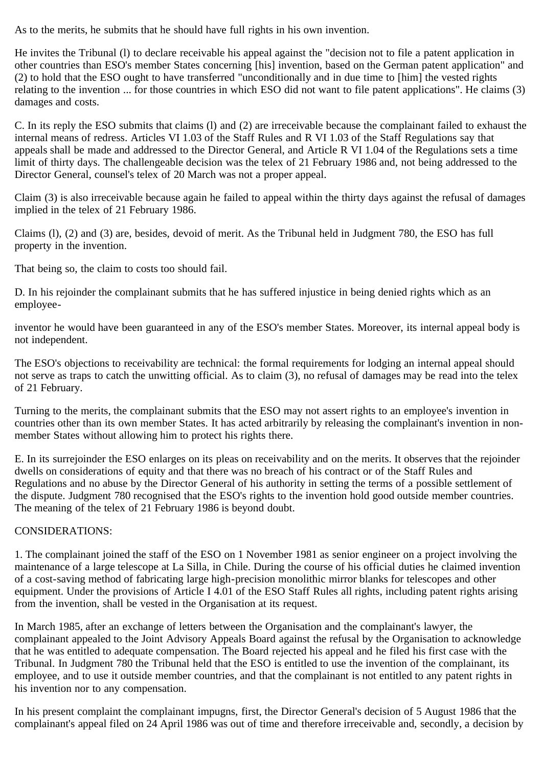As to the merits, he submits that he should have full rights in his own invention.

He invites the Tribunal (l) to declare receivable his appeal against the "decision not to file a patent application in other countries than ESO's member States concerning [his] invention, based on the German patent application" and (2) to hold that the ESO ought to have transferred "unconditionally and in due time to [him] the vested rights relating to the invention ... for those countries in which ESO did not want to file patent applications". He claims (3) damages and costs.

C. In its reply the ESO submits that claims (l) and (2) are irreceivable because the complainant failed to exhaust the internal means of redress. Articles VI 1.03 of the Staff Rules and R VI 1.03 of the Staff Regulations say that appeals shall be made and addressed to the Director General, and Article R VI 1.04 of the Regulations sets a time limit of thirty days. The challengeable decision was the telex of 21 February 1986 and, not being addressed to the Director General, counsel's telex of 20 March was not a proper appeal.

Claim (3) is also irreceivable because again he failed to appeal within the thirty days against the refusal of damages implied in the telex of 21 February 1986.

Claims (l), (2) and (3) are, besides, devoid of merit. As the Tribunal held in Judgment 780, the ESO has full property in the invention.

That being so, the claim to costs too should fail.

D. In his rejoinder the complainant submits that he has suffered injustice in being denied rights which as an employee-

inventor he would have been guaranteed in any of the ESO's member States. Moreover, its internal appeal body is not independent.

The ESO's objections to receivability are technical: the formal requirements for lodging an internal appeal should not serve as traps to catch the unwitting official. As to claim (3), no refusal of damages may be read into the telex of 21 February.

Turning to the merits, the complainant submits that the ESO may not assert rights to an employee's invention in countries other than its own member States. It has acted arbitrarily by releasing the complainant's invention in nonmember States without allowing him to protect his rights there.

E. In its surrejoinder the ESO enlarges on its pleas on receivability and on the merits. It observes that the rejoinder dwells on considerations of equity and that there was no breach of his contract or of the Staff Rules and Regulations and no abuse by the Director General of his authority in setting the terms of a possible settlement of the dispute. Judgment 780 recognised that the ESO's rights to the invention hold good outside member countries. The meaning of the telex of 21 February 1986 is beyond doubt.

## CONSIDERATIONS:

1. The complainant joined the staff of the ESO on 1 November 1981 as senior engineer on a project involving the maintenance of a large telescope at La Silla, in Chile. During the course of his official duties he claimed invention of a cost-saving method of fabricating large high-precision monolithic mirror blanks for telescopes and other equipment. Under the provisions of Article I 4.01 of the ESO Staff Rules all rights, including patent rights arising from the invention, shall be vested in the Organisation at its request.

In March 1985, after an exchange of letters between the Organisation and the complainant's lawyer, the complainant appealed to the Joint Advisory Appeals Board against the refusal by the Organisation to acknowledge that he was entitled to adequate compensation. The Board rejected his appeal and he filed his first case with the Tribunal. In Judgment 780 the Tribunal held that the ESO is entitled to use the invention of the complainant, its employee, and to use it outside member countries, and that the complainant is not entitled to any patent rights in his invention nor to any compensation.

In his present complaint the complainant impugns, first, the Director General's decision of 5 August 1986 that the complainant's appeal filed on 24 April 1986 was out of time and therefore irreceivable and, secondly, a decision by